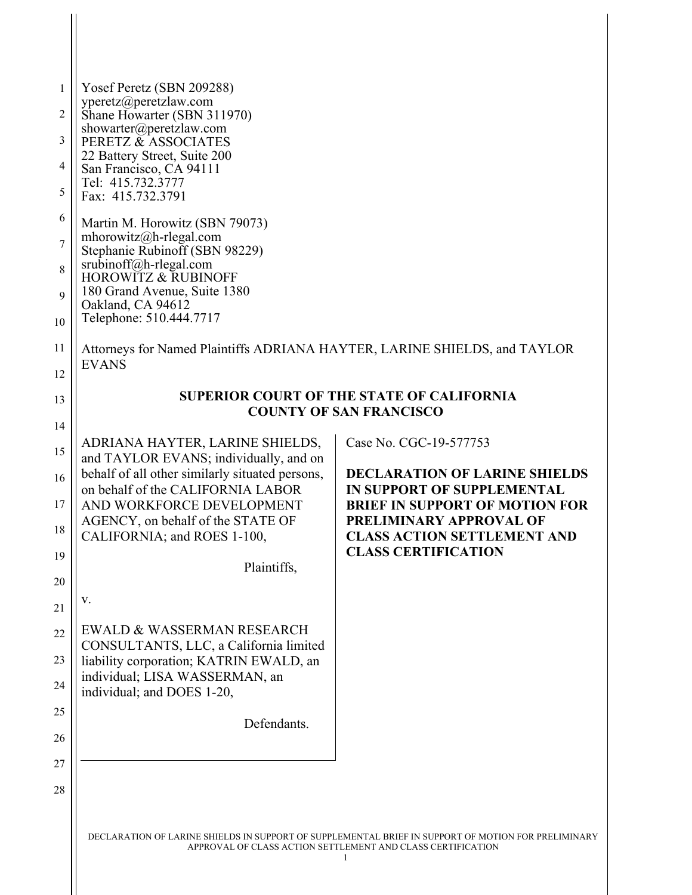| 1<br>2<br>3<br>4<br>5<br>6<br>$\boldsymbol{7}$<br>8<br>9<br>10       | Yosef Peretz (SBN 209288)<br>yperetz@peretzlaw.com<br>Shane Howarter (SBN 311970)<br>showarter@peretzlaw.com<br>PERETZ & ASSOCIATES<br>22 Battery Street, Suite 200<br>San Francisco, CA 94111<br>Tel: 415.732.3777<br>Fax: 415.732.3791<br>Martin M. Horowitz (SBN 79073)<br>mhorowitz@h-rlegal.com<br>Stephanie Rubinoff (SBN 98229)<br>srubinoff@h-rlegal.com<br><b>HOROWITZ &amp; RUBINOFF</b><br>180 Grand Avenue, Suite 1380<br>Oakland, CA 94612<br>Telephone: 510.444.7717        |                                                                                                                                                                                                                                             |
|----------------------------------------------------------------------|-------------------------------------------------------------------------------------------------------------------------------------------------------------------------------------------------------------------------------------------------------------------------------------------------------------------------------------------------------------------------------------------------------------------------------------------------------------------------------------------|---------------------------------------------------------------------------------------------------------------------------------------------------------------------------------------------------------------------------------------------|
| 11                                                                   | Attorneys for Named Plaintiffs ADRIANA HAYTER, LARINE SHIELDS, and TAYLOR                                                                                                                                                                                                                                                                                                                                                                                                                 |                                                                                                                                                                                                                                             |
| 12                                                                   | <b>EVANS</b>                                                                                                                                                                                                                                                                                                                                                                                                                                                                              |                                                                                                                                                                                                                                             |
| 13                                                                   | <b>SUPERIOR COURT OF THE STATE OF CALIFORNIA</b><br><b>COUNTY OF SAN FRANCISCO</b>                                                                                                                                                                                                                                                                                                                                                                                                        |                                                                                                                                                                                                                                             |
| 14                                                                   |                                                                                                                                                                                                                                                                                                                                                                                                                                                                                           |                                                                                                                                                                                                                                             |
| 15<br>16<br>17<br>18<br>19<br>20<br>21<br>22<br>23<br>24<br>25<br>26 | ADRIANA HAYTER, LARINE SHIELDS,<br>and TAYLOR EVANS; individually, and on<br>behalf of all other similarly situated persons,<br>on behalf of the CALIFORNIA LABOR<br>AND WORKFORCE DEVELOPMENT<br>AGENCY, on behalf of the STATE OF<br>CALIFORNIA; and ROES 1-100,<br>Plaintiffs,<br>V.<br>EWALD & WASSERMAN RESEARCH<br>CONSULTANTS, LLC, a California limited<br>liability corporation; KATRIN EWALD, an<br>individual; LISA WASSERMAN, an<br>individual; and DOES 1-20,<br>Defendants. | Case No. CGC-19-577753<br><b>DECLARATION OF LARINE SHIELDS</b><br><b>IN SUPPORT OF SUPPLEMENTAL</b><br><b>BRIEF IN SUPPORT OF MOTION FOR</b><br>PRELIMINARY APPROVAL OF<br><b>CLASS ACTION SETTLEMENT AND</b><br><b>CLASS CERTIFICATION</b> |
| 27<br>28                                                             |                                                                                                                                                                                                                                                                                                                                                                                                                                                                                           |                                                                                                                                                                                                                                             |
|                                                                      |                                                                                                                                                                                                                                                                                                                                                                                                                                                                                           |                                                                                                                                                                                                                                             |

 $\mathbf{||}$ 

DECLARATION OF LARINE SHIELDS IN SUPPORT OF SUPPLEMENTAL BRIEF IN SUPPORT OF MOTION FOR PRELIMINARY APPROVAL OF CLASS ACTION SETTLEMENT AND CLASS CERTIFICATION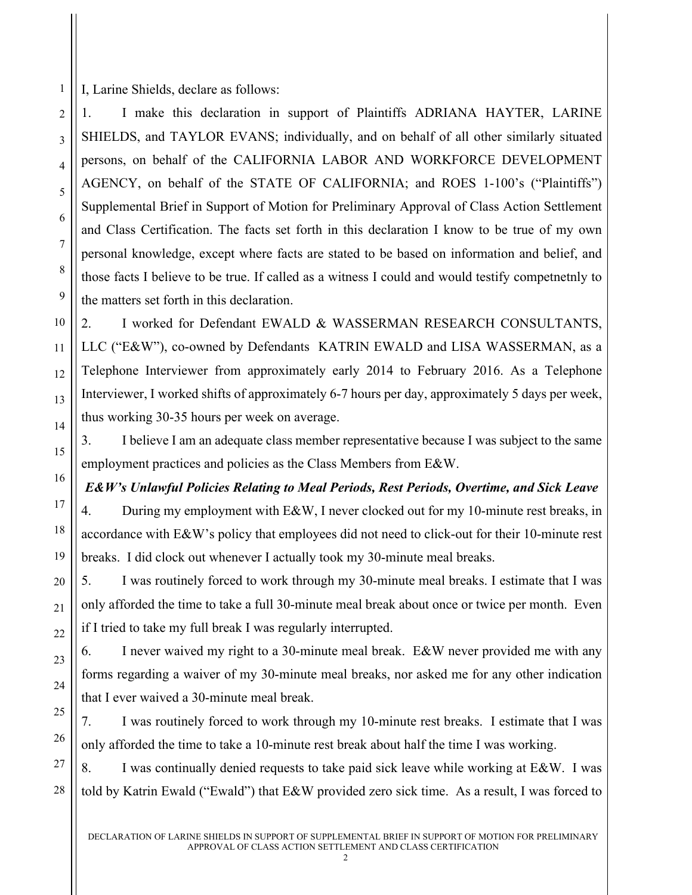I, Larine Shields, declare as follows:

1. I make this declaration in support of Plaintiffs ADRIANA HAYTER, LARINE SHIELDS, and TAYLOR EVANS; individually, and on behalf of all other similarly situated persons, on behalf of the CALIFORNIA LABOR AND WORKFORCE DEVELOPMENT AGENCY, on behalf of the STATE OF CALIFORNIA; and ROES 1-100's ("Plaintiffs") Supplemental Brief in Support of Motion for Preliminary Approval of Class Action Settlement and Class Certification. The facts set forth in this declaration I know to be true of my own personal knowledge, except where facts are stated to be based on information and belief, and those facts I believe to be true. If called as a witness I could and would testify competnetnly to the matters set forth in this declaration.

2. I worked for Defendant EWALD & WASSERMAN RESEARCH CONSULTANTS, LLC ("E&W"), co-owned by Defendants KATRIN EWALD and LISA WASSERMAN, as a Telephone Interviewer from approximately early 2014 to February 2016. As a Telephone Interviewer, I worked shifts of approximately 6-7 hours per day, approximately 5 days per week, thus working 30-35 hours per week on average.

3. I believe I am an adequate class member representative because I was subject to the same employment practices and policies as the Class Members from E&W.

*E&W's Unlawful Policies Relating to Meal Periods, Rest Periods, Overtime, and Sick Leave* 4. During my employment with E&W, I never clocked out for my 10-minute rest breaks, in accordance with E&W's policy that employees did not need to click-out for their 10-minute rest breaks. I did clock out whenever I actually took my 30-minute meal breaks.

5. I was routinely forced to work through my 30-minute meal breaks. I estimate that I was only afforded the time to take a full 30-minute meal break about once or twice per month. Even if I tried to take my full break I was regularly interrupted.

6. I never waived my right to a 30-minute meal break. E&W never provided me with any forms regarding a waiver of my 30-minute meal breaks, nor asked me for any other indication that I ever waived a 30-minute meal break.

7. I was routinely forced to work through my 10-minute rest breaks. I estimate that I was only afforded the time to take a 10-minute rest break about half the time I was working.

8. I was continually denied requests to take paid sick leave while working at E&W. I was told by Katrin Ewald ("Ewald") that E&W provided zero sick time. As a result, I was forced to

28

1

2

3

4

5

6

7

8

9

10

11

12

13

14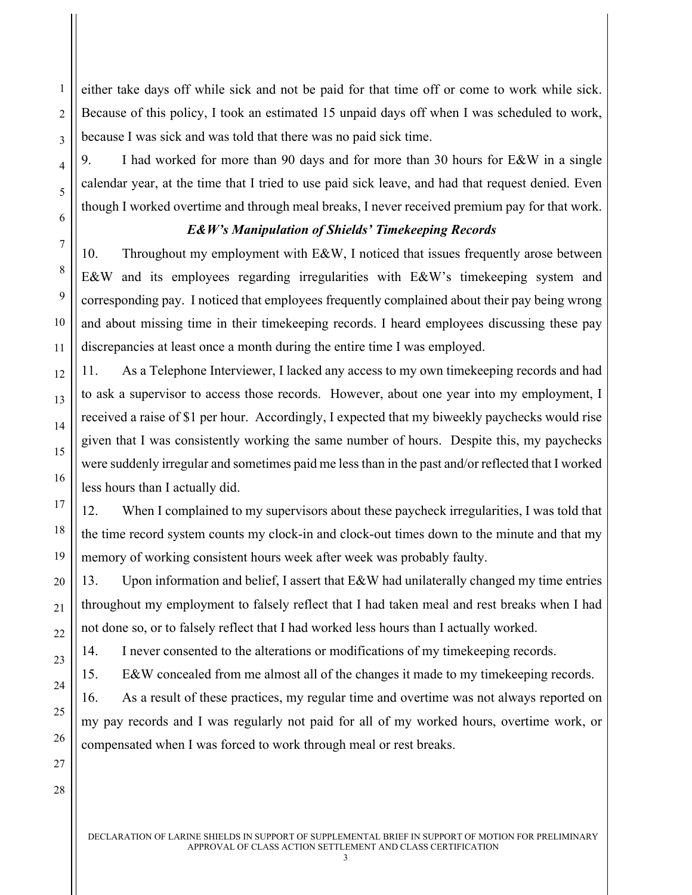either take days off while sick and not be paid for that time off or come to work while sick. Because of this policy, I took an estimated 15 unpaid days off when I was scheduled to work, because I was sick and was told that there was no paid sick time.

9. I had worked for more than 90 days and for more than 30 hours for E&W in a single calendar year, at the time that I tried to use paid sick leave, and had that request denied. Even though I worked overtime and through meal breaks, I never received premium pay for that work.

## *E&W's Manipulation of Shields' Timekeeping Records*

10. Throughout my employment with E&W, I noticed that issues frequently arose between E&W and its employees regarding irregularities with E&W's timekeeping system and corresponding pay. I noticed that employees frequently complained about their pay being wrong and about missing time in their timekeeping records. I heard employees discussing these pay discrepancies at least once a month during the entire time I was employed.

11. As a Telephone Interviewer, I lacked any access to my own timekeeping records and had to ask a supervisor to access those records. However, about one year into my employment, I received a raise of \$1 per hour. Accordingly, I expected that my biweekly paychecks would rise given that I was consistently working the same number of hours. Despite this, my paychecks were suddenly irregular and sometimes paid me less than in the past and/or reflected that I worked less hours than I actually did.

12. When I complained to my supervisors about these paycheck irregularities, I was told that the time record system counts my clock-in and clock-out times down to the minute and that my memory of working consistent hours week after week was probably faulty.

13. Upon information and belief, I assert that E&W had unilaterally changed my time entries throughout my employment to falsely reflect that I had taken meal and rest breaks when I had not done so, or to falsely reflect that I had worked less hours than I actually worked.

14. I never consented to the alterations or modifications of my timekeeping records.

15. E&W concealed from me almost all of the changes it made to my timekeeping records.

16. As a result of these practices, my regular time and overtime was not always reported on my pay records and I was regularly not paid for all of my worked hours, overtime work, or compensated when I was forced to work through meal or rest breaks.

1

2

3

3